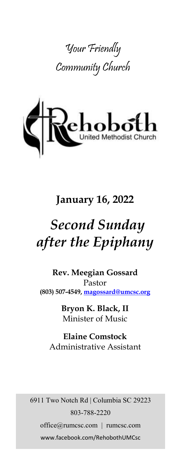



## **January 16, 2022**

# *Second Sunday after the Epiphany*

**Rev. Meegian Gossard** Pastor **(803) 507-4549, magossard@umcsc.org**

> **Bryon K. Black, II** Minister of Music

**Elaine Comstock** Administrative Assistant

6911 Two Notch Rd | Columbia SC 29223 803-788-2220 office@rumcsc.com | rumcsc.com www.facebook.com/RehobothUMCsc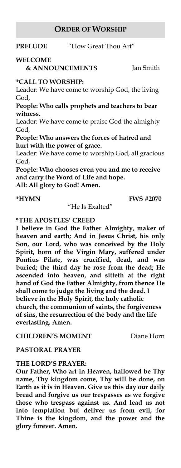#### **ORDER OF WORSHIP**

#### **PRELUDE** "How Great Thou Art"

#### **WELCOME**

 **& ANNOUNCEMENTS** Jan Smith

#### **\*CALL TO WORSHIP:**

Leader: We have come to worship God, the living God,

**People: Who calls prophets and teachers to bear witness.**

Leader: We have come to praise God the almighty God,

**People: Who answers the forces of hatred and hurt with the power of grace.**

Leader: We have come to worship God, all gracious God,

**People: Who chooses even you and me to receive and carry the Word of Life and hope.**

**All: All glory to God! Amen.**

#### **\*HYMN FWS #2070**

"He Is Exalted"

#### **\*THE APOSTLES' CREED**

**I believe in God the Father Almighty, maker of heaven and earth; And in Jesus Christ, his only Son, our Lord, who was conceived by the Holy Spirit, born of the Virgin Mary, suffered under Pontius Pilate, was crucified, dead, and was buried; the third day he rose from the dead; He ascended into heaven, and sitteth at the right hand of God the Father Almighty, from thence He shall come to judge the living and the dead. I believe in the Holy Spirit, the holy catholic church, the communion of saints, the forgiveness of sins, the resurrection of the body and the life everlasting. Amen.**

**CHILDREN'S MOMENT** Diane Horn

#### **PASTORAL PRAYER**

#### **THE LORD'S PRAYER:**

**Our Father, Who art in Heaven, hallowed be Thy name, Thy kingdom come, Thy will be done, on Earth as it is in Heaven. Give us this day our daily bread and forgive us our trespasses as we forgive those who trespass against us. And lead us not into temptation but deliver us from evil, for Thine is the kingdom, and the power and the glory forever. Amen.**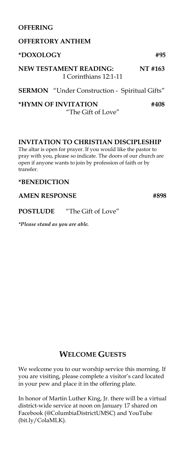#### **OFFERING**

| <b>OFFERTORY ANTHEM</b>                                |         |
|--------------------------------------------------------|---------|
| *DOXOLOGY                                              | #95     |
| <b>NEW TESTAMENT READING:</b><br>I Corinthians 12:1-11 | NT #163 |
| <b>SERMON</b> "Under Construction - Spiritual Gifts"   |         |

**\*HYMN OF INVITATION #408**  "The Gift of Love"

#### **INVITATION TO CHRISTIAN DISCIPLESHIP**

The altar is open for prayer. If you would like the pastor to pray with you, please so indicate. The doors of our church are open if anyone wants to join by profession of faith or by transfer.

#### **\*BENEDICTION**

#### AMEN RESPONSE #898

#### **POSTLUDE** "The Gift of Love"

*\*Please stand as you are able.*

#### **WELCOME GUESTS**

We welcome you to our worship service this morning. If you are visiting, please complete a visitor's card located in your pew and place it in the offering plate.

In honor of Martin Luther King, Jr. there will be a virtual district-wide service at noon on January 17 shared on Facebook (@ColumbiaDistrictUMSC) and YouTube (bit.ly/ColaMLK).